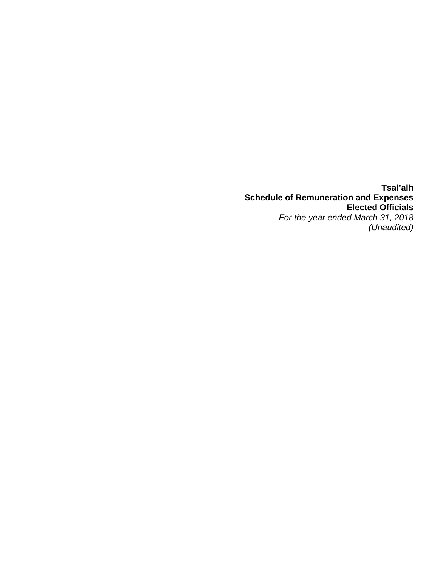**Tsal'alh Schedule of Remuneration and Expenses Elected Officials**  *For the year ended March 31, 2018 (Unaudited)*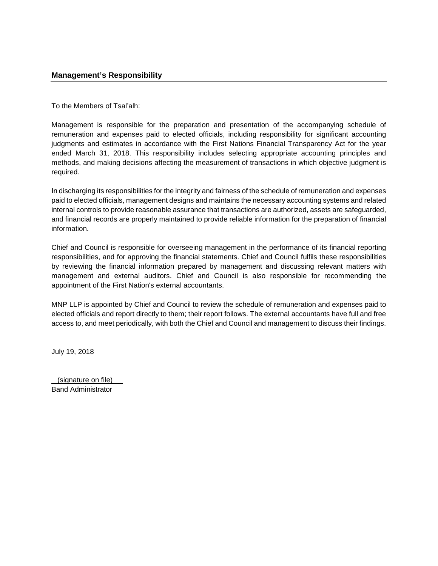To the Members of Tsal'alh:

Management is responsible for the preparation and presentation of the accompanying schedule of remuneration and expenses paid to elected officials, including responsibility for significant accounting judgments and estimates in accordance with the First Nations Financial Transparency Act for the year ended March 31, 2018. This responsibility includes selecting appropriate accounting principles and methods, and making decisions affecting the measurement of transactions in which objective judgment is required.

In discharging its responsibilities for the integrity and fairness of the schedule of remuneration and expenses paid to elected officials, management designs and maintains the necessary accounting systems and related internal controls to provide reasonable assurance that transactions are authorized, assets are safeguarded, and financial records are properly maintained to provide reliable information for the preparation of financial information.

Chief and Council is responsible for overseeing management in the performance of its financial reporting responsibilities, and for approving the financial statements. Chief and Council fulfils these responsibilities by reviewing the financial information prepared by management and discussing relevant matters with management and external auditors. Chief and Council is also responsible for recommending the appointment of the First Nation's external accountants.

MNP LLP is appointed by Chief and Council to review the schedule of remuneration and expenses paid to elected officials and report directly to them; their report follows. The external accountants have full and free access to, and meet periodically, with both the Chief and Council and management to discuss their findings.

July 19, 2018

(signature on file) Band Administrator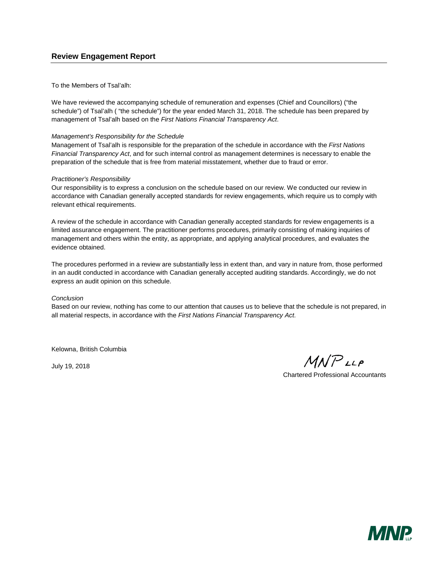## **Review Engagement Report**

To the Members of Tsal'alh:

We have reviewed the accompanying schedule of remuneration and expenses (Chief and Councillors) ("the schedule") of Tsal'alh ( "the schedule") for the year ended March 31, 2018. The schedule has been prepared by management of Tsal'alh based on the *First Nations Financial Transparency Act*.

### *Management's Responsibility for the Schedule*

Management of Tsal'alh is responsible for the preparation of the schedule in accordance with the *First Nations Financial Transparency Act*, and for such internal control as management determines is necessary to enable the preparation of the schedule that is free from material misstatement, whether due to fraud or error.

### *Practitioner's Responsibility*

Our responsibility is to express a conclusion on the schedule based on our review. We conducted our review in accordance with Canadian generally accepted standards for review engagements, which require us to comply with relevant ethical requirements.

A review of the schedule in accordance with Canadian generally accepted standards for review engagements is a limited assurance engagement. The practitioner performs procedures, primarily consisting of making inquiries of management and others within the entity, as appropriate, and applying analytical procedures, and evaluates the evidence obtained.

The procedures performed in a review are substantially less in extent than, and vary in nature from, those performed in an audit conducted in accordance with Canadian generally accepted auditing standards. Accordingly, we do not express an audit opinion on this schedule.

#### *Conclusion*

Based on our review, nothing has come to our attention that causes us to believe that the schedule is not prepared, in all material respects, in accordance with the *First Nations Financial Transparency Act*.

Kelowna, British Columbia

July 19, 2018

 $MNP$ LLP

Chartered Professional Accountants